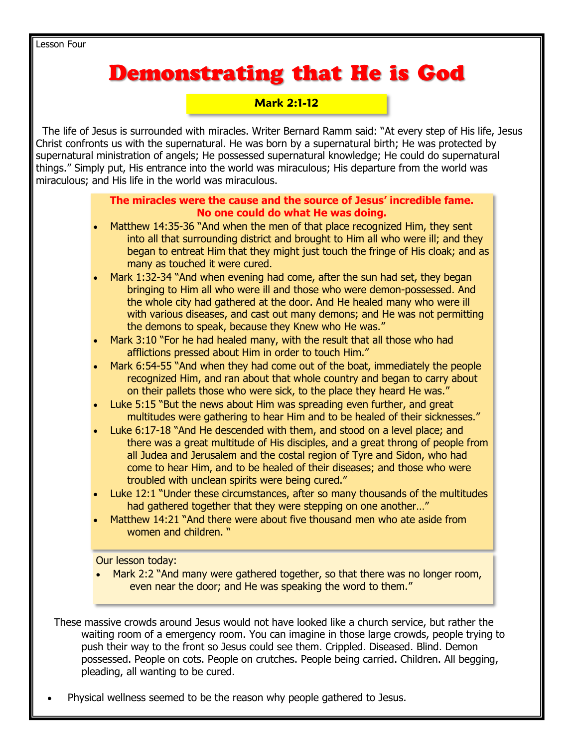Lesson Four

# **Demonstrating that He is God**

#### **Mark 2:1-12**

 The life of Jesus is surrounded with miracles. Writer Bernard Ramm said: "At every step of His life, Jesus Christ confronts us with the supernatural. He was born by a supernatural birth; He was protected by supernatural ministration of angels; He possessed supernatural knowledge; He could do supernatural things." Simply put, His entrance into the world was miraculous; His departure from the world was miraculous; and His life in the world was miraculous.

#### **The miracles were the cause and the source of Jesus' incredible fame. No one could do what He was doing.**

- Matthew 14:35-36 "And when the men of that place recognized Him, they sent into all that surrounding district and brought to Him all who were ill; and they began to entreat Him that they might just touch the fringe of His cloak; and as many as touched it were cured.
- Mark 1:32-34 "And when evening had come, after the sun had set, they began bringing to Him all who were ill and those who were demon-possessed. And the whole city had gathered at the door. And He healed many who were ill with various diseases, and cast out many demons; and He was not permitting the demons to speak, because they Knew who He was."
- Mark 3:10 "For he had healed many, with the result that all those who had afflictions pressed about Him in order to touch Him."
- Mark 6:54-55 "And when they had come out of the boat, immediately the people recognized Him, and ran about that whole country and began to carry about on their pallets those who were sick, to the place they heard He was."
- Luke 5:15 "But the news about Him was spreading even further, and great multitudes were gathering to hear Him and to be healed of their sicknesses."
- Luke 6:17-18 "And He descended with them, and stood on a level place; and there was a great multitude of His disciples, and a great throng of people from all Judea and Jerusalem and the costal region of Tyre and Sidon, who had come to hear Him, and to be healed of their diseases; and those who were troubled with unclean spirits were being cured."
- Luke 12:1 "Under these circumstances, after so many thousands of the multitudes had gathered together that they were stepping on one another…"
- Matthew 14:21 "And there were about five thousand men who ate aside from women and children. "

Our lesson today:

Mark 2:2 "And many were gathered together, so that there was no longer room, even near the door; and He was speaking the word to them."

 These massive crowds around Jesus would not have looked like a church service, but rather the waiting room of a emergency room. You can imagine in those large crowds, people trying to push their way to the front so Jesus could see them. Crippled. Diseased. Blind. Demon possessed. People on cots. People on crutches. People being carried. Children. All begging, pleading, all wanting to be cured.

Physical wellness seemed to be the reason why people gathered to Jesus.